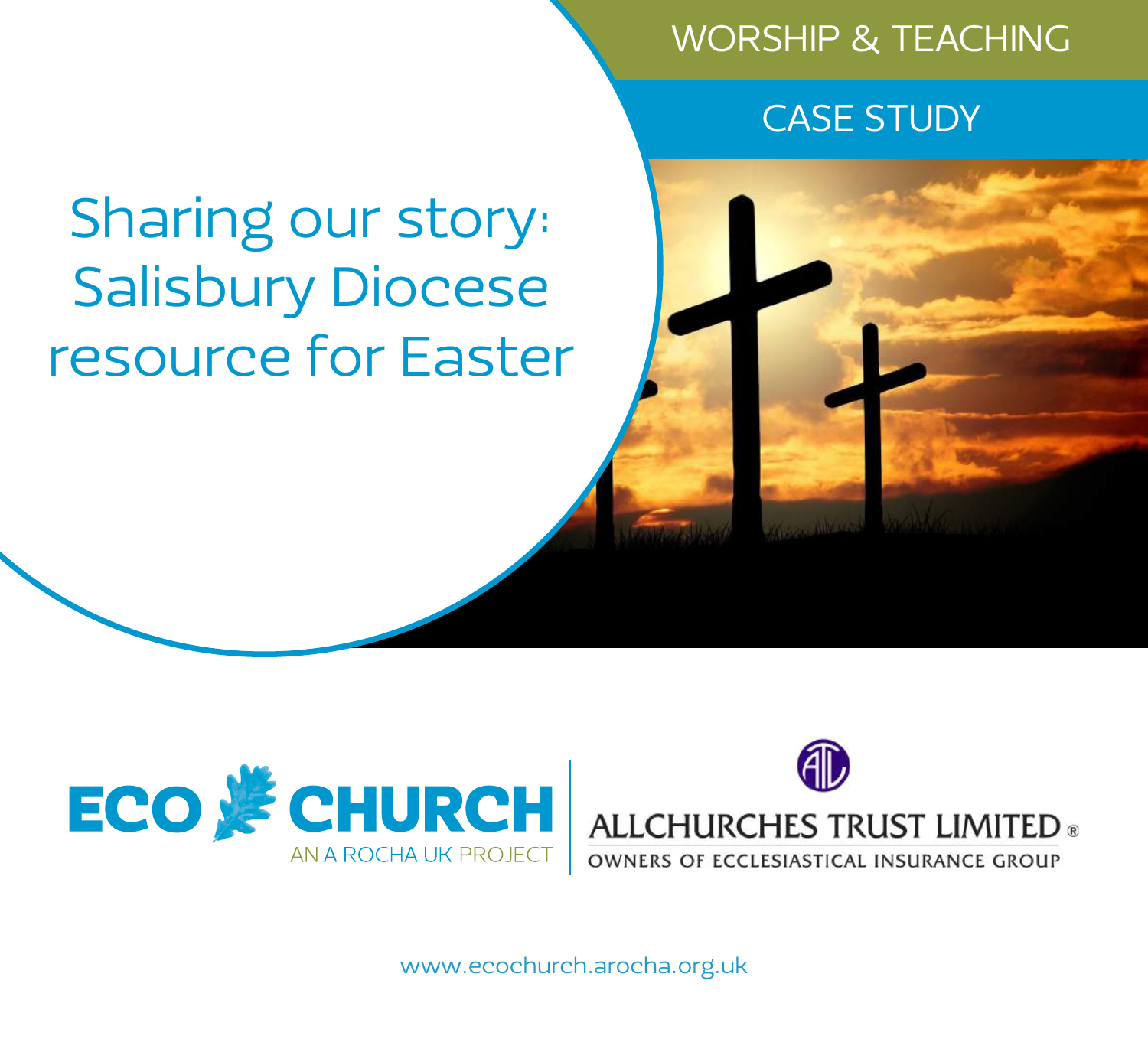# WORSHIP & TEACHING

# CASE STUDY

# Sharing our story: Salisbury Diocese resource for Easter







www.ecochurch.arocha.org.uk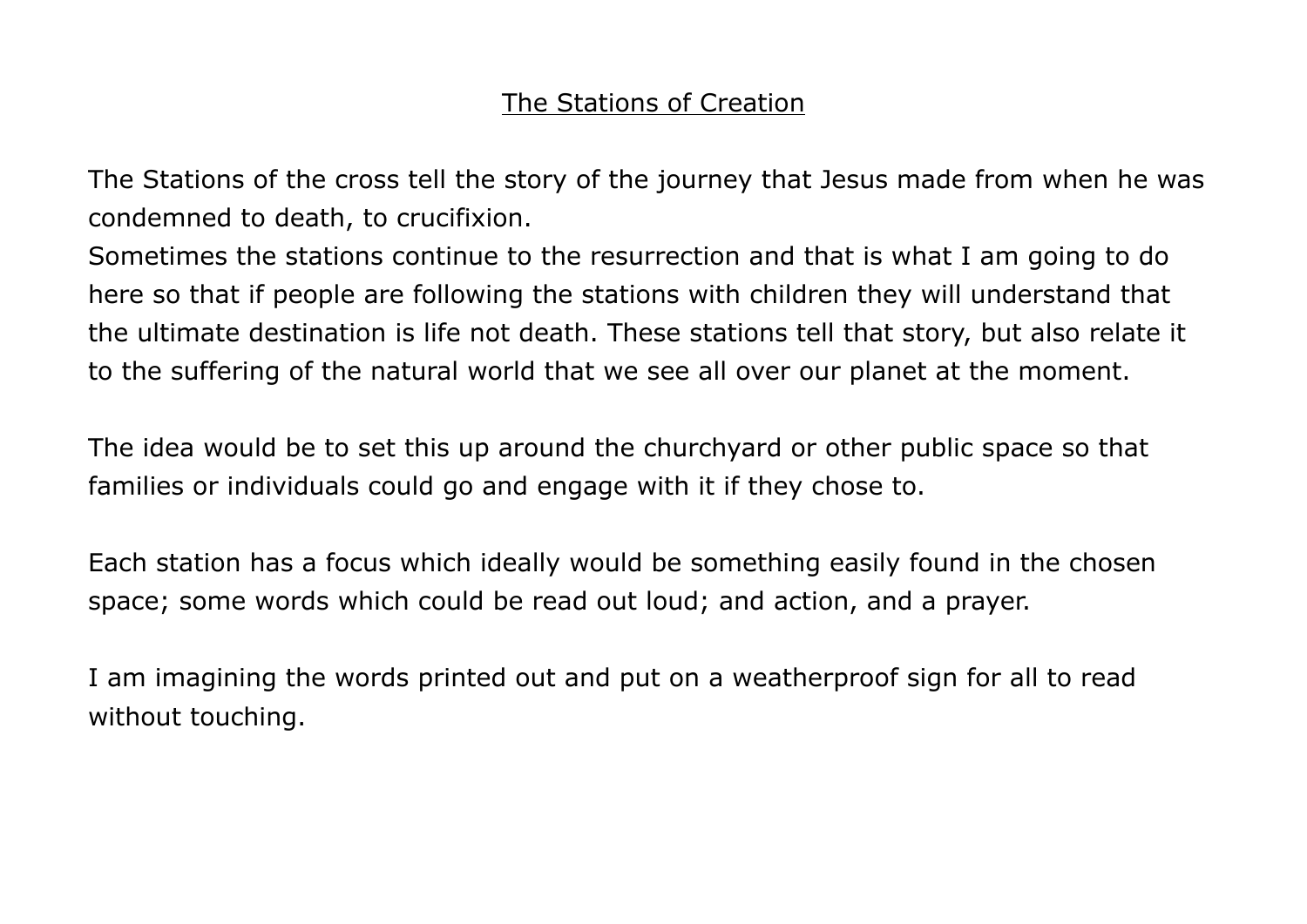# The Stations of Creation

The Stations of the cross tell the story of the journey that Jesus made from when he was condemned to death, to crucifixion.

Sometimes the stations continue to the resurrection and that is what I am going to do here so that if people are following the stations with children they will understand that the ultimate destination is life not death. These stations tell that story, but also relate it to the suffering of the natural world that we see all over our planet at the moment.

The idea would be to set this up around the churchyard or other public space so that families or individuals could go and engage with it if they chose to.

Each station has a focus which ideally would be something easily found in the chosen space; some words which could be read out loud; and action, and a prayer.

I am imagining the words printed out and put on a weatherproof sign for all to read without touching.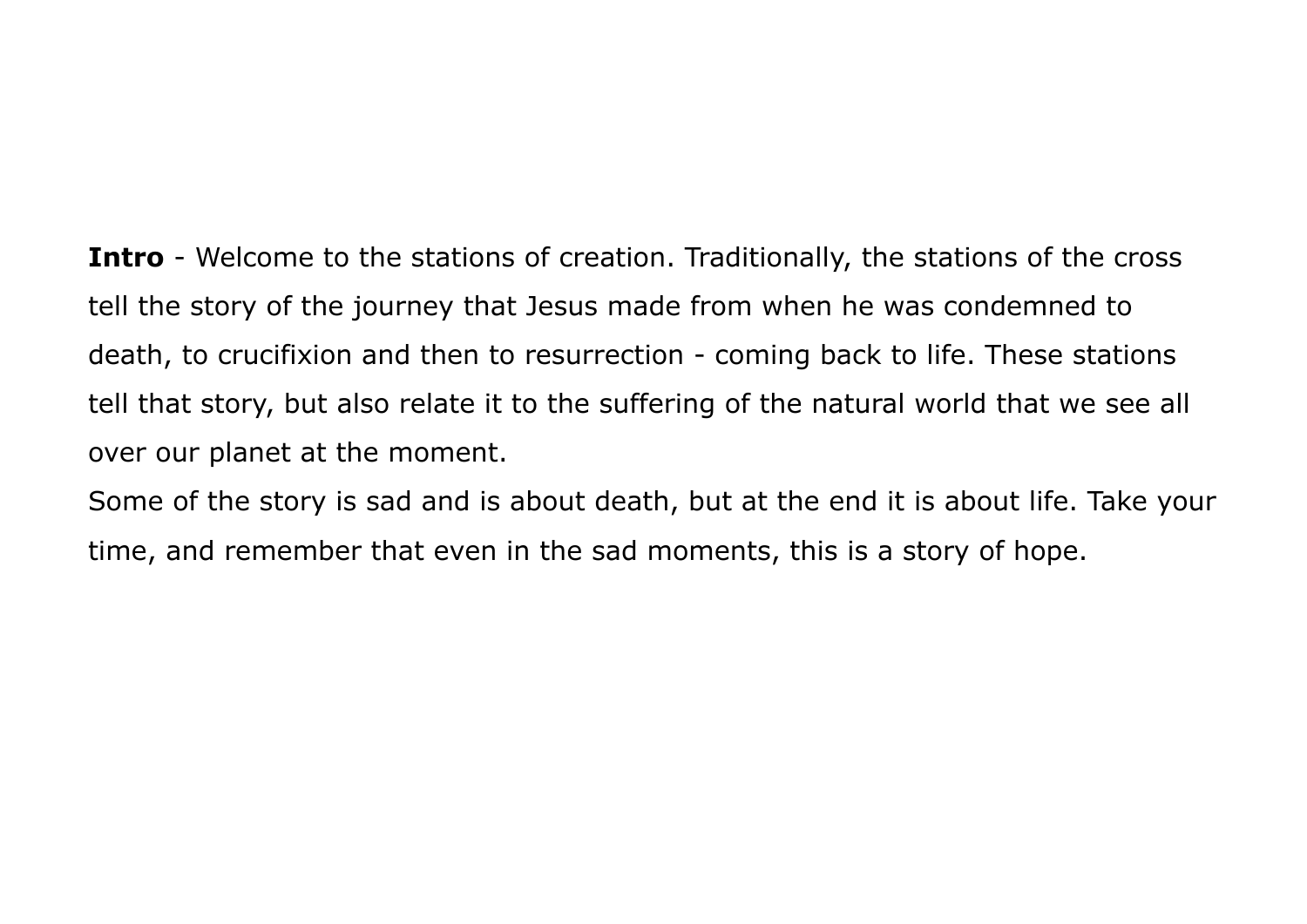**Intro** - Welcome to the stations of creation. Traditionally, the stations of the cross tell the story of the journey that Jesus made from when he was condemned to death, to crucifixion and then to resurrection - coming back to life. These stations tell that story, but also relate it to the suffering of the natural world that we see all over our planet at the moment.

Some of the story is sad and is about death, but at the end it is about life. Take your time, and remember that even in the sad moments, this is a story of hope.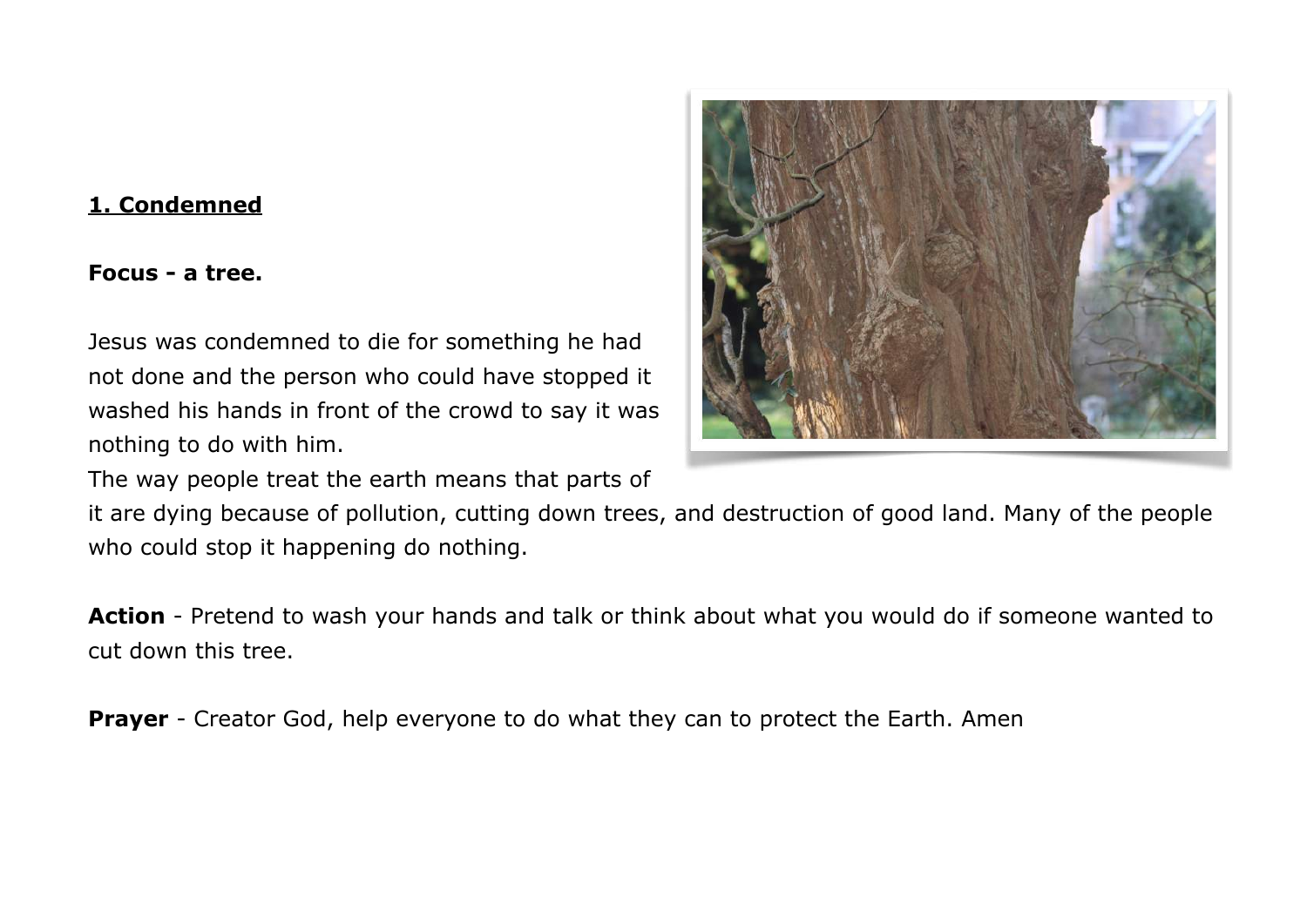#### **1. Condemned**

#### **Focus - a tree.**

Jesus was condemned to die for something he had not done and the person who could have stopped it washed his hands in front of the crowd to say it was nothing to do with him.

The way people treat the earth means that parts of



**Action** - Pretend to wash your hands and talk or think about what you would do if someone wanted to cut down this tree.

**Prayer** - Creator God, help everyone to do what they can to protect the Earth. Amen

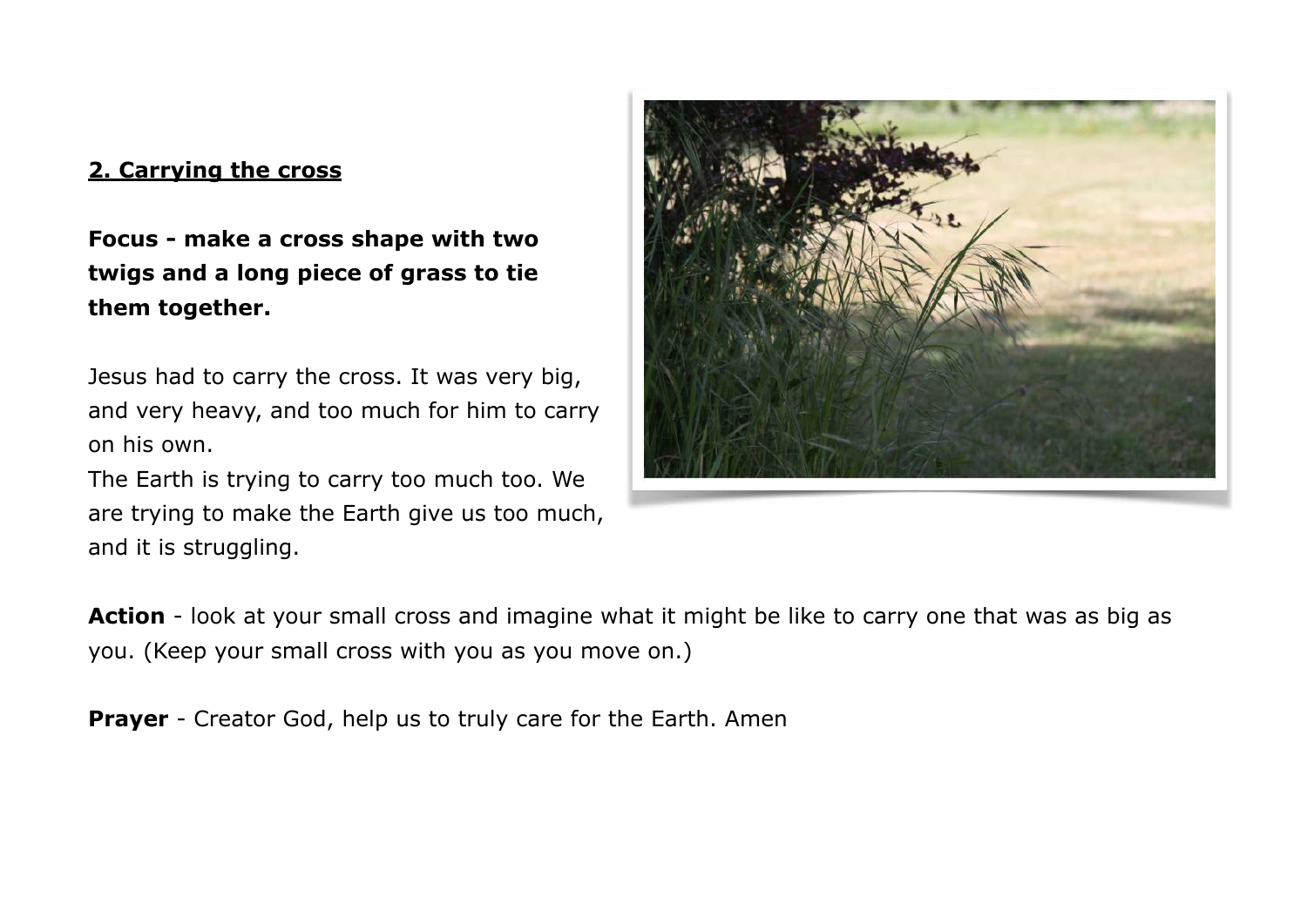## **2. Carrying the cross**

**Focus - make a cross shape with two twigs and a long piece of grass to tie them together.** 

Jesus had to carry the cross. It was very big, and very heavy, and too much for him to carry on his own.

The Earth is trying to carry too much too. We are trying to make the Earth give us too much, and it is struggling.



**Action** - look at your small cross and imagine what it might be like to carry one that was as big as you. (Keep your small cross with you as you move on.)

**Prayer** - Creator God, help us to truly care for the Earth. Amen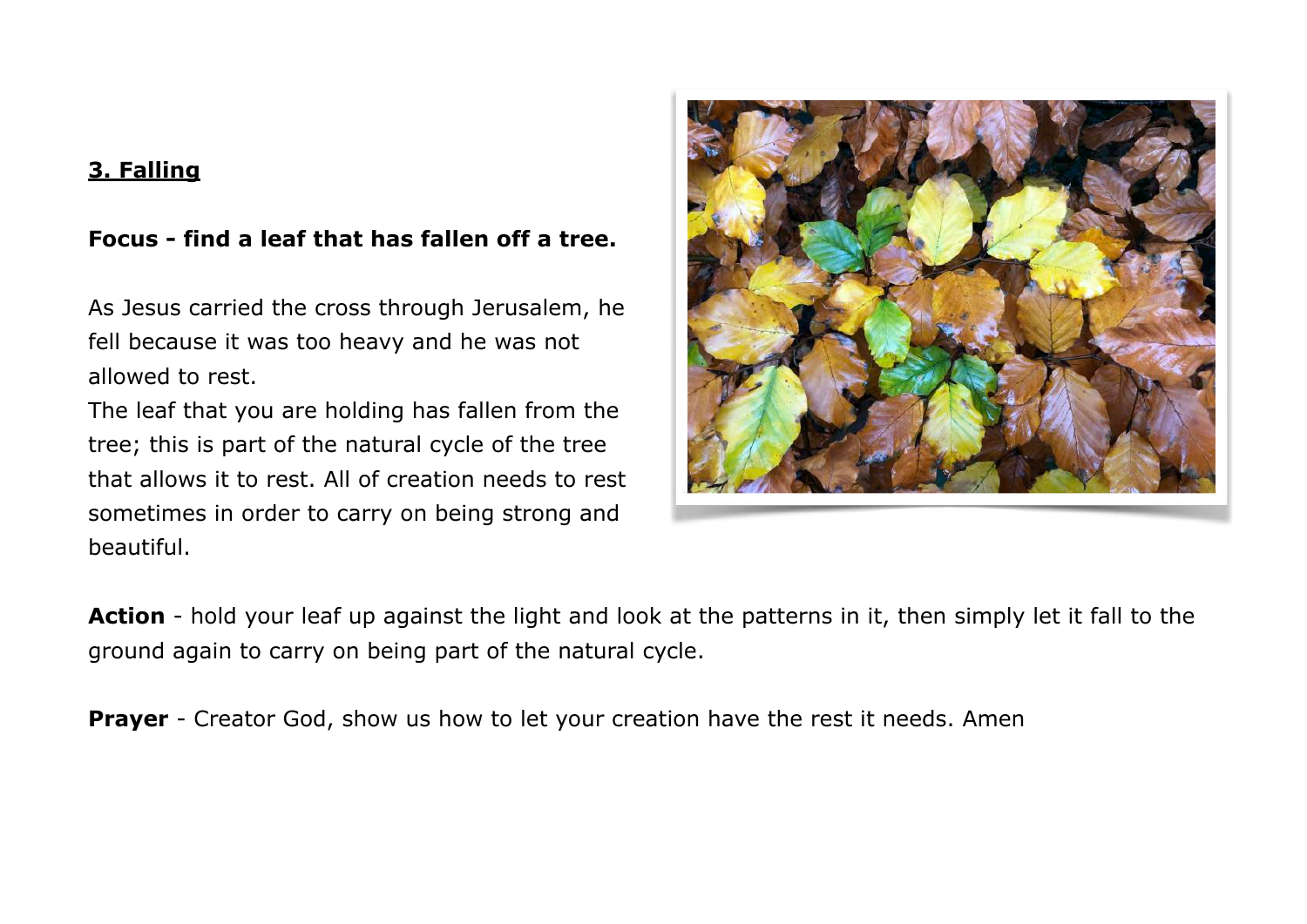# **3. Falling**

# **Focus - find a leaf that has fallen off a tree.**

As Jesus carried the cross through Jerusalem, he fell because it was too heavy and he was not allowed to rest.

The leaf that you are holding has fallen from the tree; this is part of the natural cycle of the tree that allows it to rest. All of creation needs to rest sometimes in order to carry on being strong and beautiful.



**Action** - hold your leaf up against the light and look at the patterns in it, then simply let it fall to the ground again to carry on being part of the natural cycle.

**Prayer** - Creator God, show us how to let your creation have the rest it needs. Amen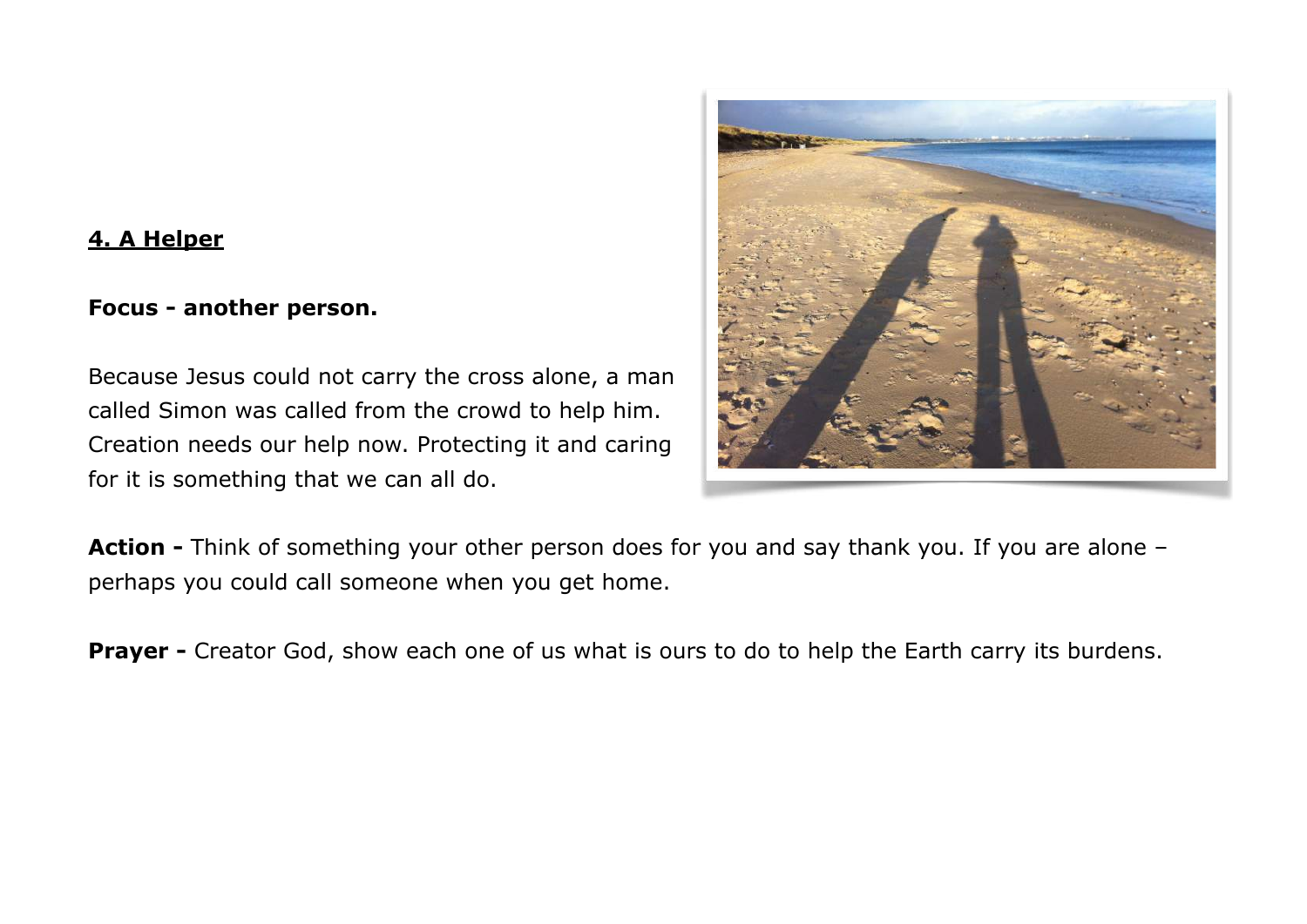### **4. A Helper**

#### **Focus - another person.**

Because Jesus could not carry the cross alone, a man called Simon was called from the crowd to help him. Creation needs our help now. Protecting it and caring for it is something that we can all do.



**Action -** Think of something your other person does for you and say thank you. If you are alone – perhaps you could call someone when you get home.

**Prayer -** Creator God, show each one of us what is ours to do to help the Earth carry its burdens.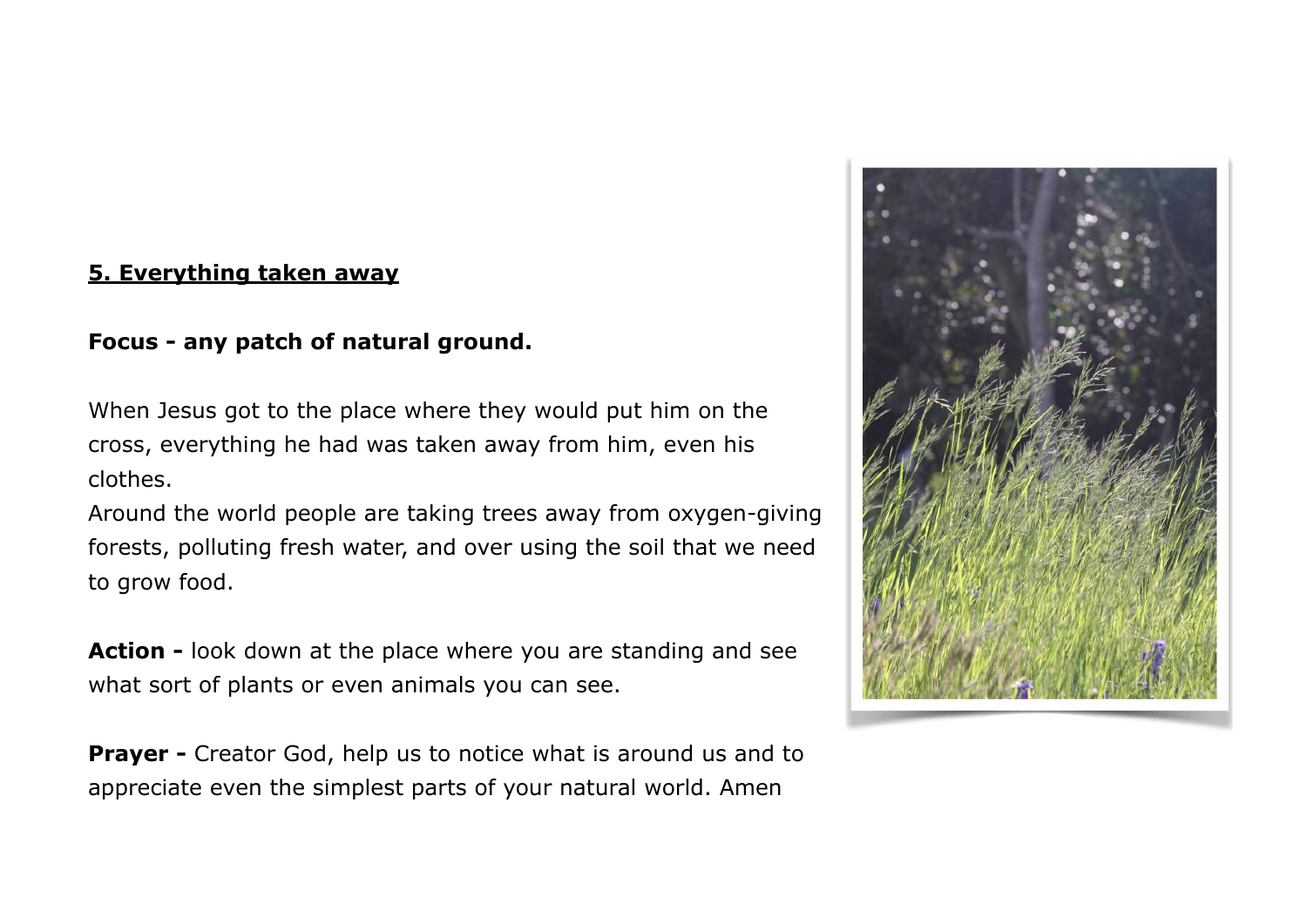#### **5. Everything taken away**

## **Focus - any patch of natural ground.**

When Jesus got to the place where they would put him on the cross, everything he had was taken away from him, even his clothes.

Around the world people are taking trees away from oxygen-giving forests, polluting fresh water, and over using the soil that we need to grow food.

**Action -** look down at the place where you are standing and see what sort of plants or even animals you can see.

**Prayer -** Creator God, help us to notice what is around us and to appreciate even the simplest parts of your natural world. Amen

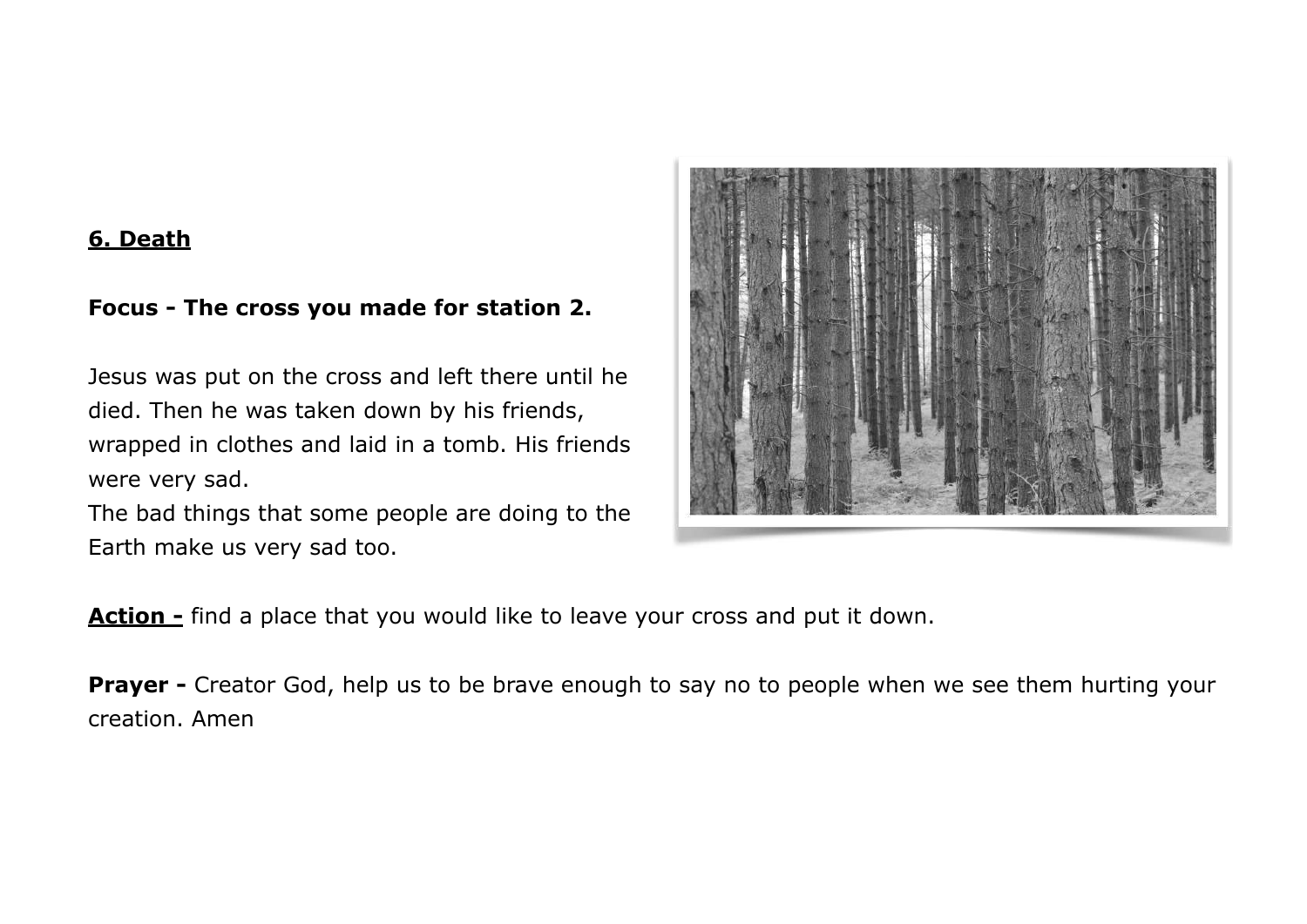#### **6. Death**

# **Focus - The cross you made for station 2.**

Jesus was put on the cross and left there until he died. Then he was taken down by his friends, wrapped in clothes and laid in a tomb. His friends were very sad.

The bad things that some people are doing to the Earth make us very sad too.



**Action -** find a place that you would like to leave your cross and put it down.

**Prayer -** Creator God, help us to be brave enough to say no to people when we see them hurting your creation. Amen